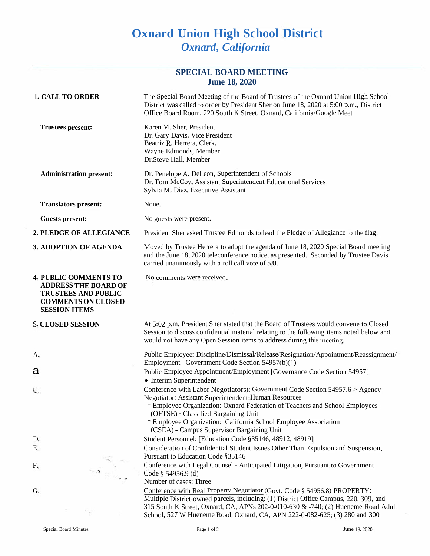## **Oxnard Union High School District** *Oxnard***,** *California*

## **SPECIAL BOARD MEETING June 18, 2020**

| <b>1. CALL TO ORDER</b>                                                                                                                        | The Special Board Meeting of the Board of Trustees of the Oxnard Union High School<br>District was called to order by President Sher on June 18, 2020 at 5:00 p.m., District<br>Office Board Room, 220 South K Street, Oxnard, Califomia/Google Meet                                                                                                                                    |
|------------------------------------------------------------------------------------------------------------------------------------------------|-----------------------------------------------------------------------------------------------------------------------------------------------------------------------------------------------------------------------------------------------------------------------------------------------------------------------------------------------------------------------------------------|
| <b>Trustees present:</b>                                                                                                                       | Karen M. Sher, President<br>Dr. Gary Davis, Vice President<br>Beatriz R. Herrera, Clerk.<br>Wayne Edmonds, Member<br>Dr.Steve Hall, Member                                                                                                                                                                                                                                              |
| <b>Administration present:</b>                                                                                                                 | Dr. Penelope A. DeLeon, Superintendent of Schools<br>Dr. Tom McCoy, Assistant Superintendent Educational Services<br>Sylvia M. Diaz, Executive Assistant                                                                                                                                                                                                                                |
| <b>Translators present:</b>                                                                                                                    | None.                                                                                                                                                                                                                                                                                                                                                                                   |
| <b>Guests present:</b>                                                                                                                         | No guests were present.                                                                                                                                                                                                                                                                                                                                                                 |
| 2. PLEDGE OF ALLEGIANCE                                                                                                                        | President Sher asked Trustee Edmonds to lead the Pledge of Allegiance to the flag.                                                                                                                                                                                                                                                                                                      |
| 3. ADOPTION OF AGENDA                                                                                                                          | Moved by Trustee Herrera to adopt the agenda of June 18, 2020 Special Board meeting<br>and the June 18, 2020 teleconference notice, as presented. Seconded by Trustee Davis<br>carried unanimously with a roll call vote of 5/0.                                                                                                                                                        |
| <b>4. PUBLIC COMMENTS TO</b><br><b>ADDRESS THE BOARD OF</b><br><b>TRUSTEES AND PUBLIC</b><br><b>COMMENTS ON CLOSED</b><br><b>SESSION ITEMS</b> | No comments were received.                                                                                                                                                                                                                                                                                                                                                              |
| <b>S. CLOSED SESSION</b>                                                                                                                       | At 5:02 p.m. President Sher stated that the Board of Trustees would convene to Closed<br>Session to discuss confidential material relating to the following items noted below and<br>would not have any Open Session items to address during this meeting.                                                                                                                              |
| A.                                                                                                                                             | Public Employee: Discipline/Dismissal/Release/Resignation/Appointment/Reassignment/                                                                                                                                                                                                                                                                                                     |
| а                                                                                                                                              | Employment Government Code Section 54957(b)(1)<br>Public Employee Appointment/Employment [Governance Code Section 54957]<br>• Interim Superintendent                                                                                                                                                                                                                                    |
| C.                                                                                                                                             | Conference with Labor Negotiators): Government Code Section 54957.6 > Agency<br>Negotiator: Assistant Superintendent-Human Resources<br><sup>+</sup> Employee Organization: Oxnard Federation of Teachers and School Employees<br>(OFTSE) - Classified Bargaining Unit<br>* Employee Organization: California School Employee Association<br>(CSEA) - Campus Supervisor Bargaining Unit |
| D.                                                                                                                                             | Student Personnel: [Education Code §35146, 48912, 48919]                                                                                                                                                                                                                                                                                                                                |
| Ε.                                                                                                                                             | Consideration of Confidential Student Issues Other Than Expulsion and Suspension,<br>Pursuant to Education Code §35146                                                                                                                                                                                                                                                                  |
| F.<br>$\left\langle \vec{A} \right\rangle_{\frac{1}{2}}$ )                                                                                     | Conference with Legal Counsel - Anticipated Litigation, Pursuant to Government<br>Code § 54956.9 (d)<br>Number of cases: Three                                                                                                                                                                                                                                                          |
| G.                                                                                                                                             | Conference with Real Property Negotiator (Govt. Code § 54956.8) PROPERTY:<br>Multiple District-owned parcels, including: (1) District Office Campus, 220, 309, and<br>315 South K Street, Oxnard, CA, APNs 202-0-010-630 & -740; (2) Hueneme Road Adult<br>School, 527 W Hueneme Road, Oxnard, CA, APN 222-0-082-625; (3) 280 and 300                                                   |